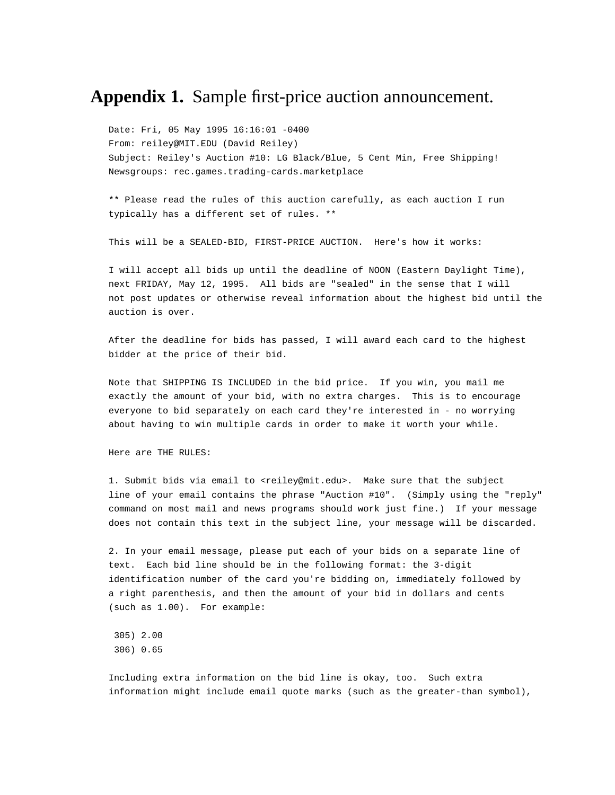## **Appendix 1.** Sample first-price auction announcement.

Date: Fri, 05 May 1995 16:16:01 -0400 From: reiley@MIT.EDU (David Reiley) Subject: Reiley's Auction #10: LG Black/Blue, 5 Cent Min, Free Shipping! Newsgroups: rec.games.trading-cards.marketplace

\*\* Please read the rules of this auction carefully, as each auction I run typically has a different set of rules. \*\*

This will be a SEALED-BID, FIRST-PRICE AUCTION. Here's how it works:

I will accept all bids up until the deadline of NOON (Eastern Daylight Time), next FRIDAY, May 12, 1995. All bids are "sealed" in the sense that I will not post updates or otherwise reveal information about the highest bid until the auction is over.

After the deadline for bids has passed, I will award each card to the highest bidder at the price of their bid.

Note that SHIPPING IS INCLUDED in the bid price. If you win, you mail me exactly the amount of your bid, with no extra charges. This is to encourage everyone to bid separately on each card they're interested in - no worrying about having to win multiple cards in order to make it worth your while.

Here are THE RULES:

1. Submit bids via email to <reiley@mit.edu>. Make sure that the subject line of your email contains the phrase "Auction #10". (Simply using the "reply" command on most mail and news programs should work just fine.) If your message does not contain this text in the subject line, your message will be discarded.

2. In your email message, please put each of your bids on a separate line of text. Each bid line should be in the following format: the 3-digit identification number of the card you're bidding on, immediately followed by a right parenthesis, and then the amount of your bid in dollars and cents (such as 1.00). For example:

 305) 2.00 306) 0.65

Including extra information on the bid line is okay, too. Such extra information might include email quote marks (such as the greater-than symbol),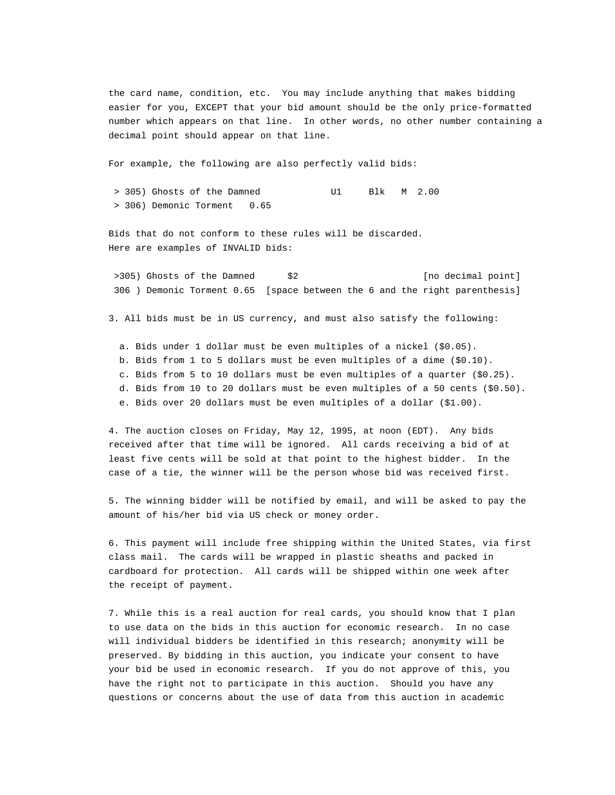the card name, condition, etc. You may include anything that makes bidding easier for you, EXCEPT that your bid amount should be the only price-formatted number which appears on that line. In other words, no other number containing a decimal point should appear on that line.

For example, the following are also perfectly valid bids:

 > 305) Ghosts of the Damned U1 Blk M 2.00 > 306) Demonic Torment 0.65

Bids that do not conform to these rules will be discarded. Here are examples of INVALID bids:

>305) Ghosts of the Damned  $$2$  [no decimal point] 306 ) Demonic Torment 0.65 [space between the 6 and the right parenthesis]

3. All bids must be in US currency, and must also satisfy the following:

 a. Bids under 1 dollar must be even multiples of a nickel (\$0.05). b. Bids from 1 to 5 dollars must be even multiples of a dime (\$0.10). c. Bids from 5 to 10 dollars must be even multiples of a quarter (\$0.25). d. Bids from 10 to 20 dollars must be even multiples of a 50 cents (\$0.50). e. Bids over 20 dollars must be even multiples of a dollar (\$1.00).

4. The auction closes on Friday, May 12, 1995, at noon (EDT). Any bids received after that time will be ignored. All cards receiving a bid of at least five cents will be sold at that point to the highest bidder. In the case of a tie, the winner will be the person whose bid was received first.

5. The winning bidder will be notified by email, and will be asked to pay the amount of his/her bid via US check or money order.

6. This payment will include free shipping within the United States, via first class mail. The cards will be wrapped in plastic sheaths and packed in cardboard for protection. All cards will be shipped within one week after the receipt of payment.

7. While this is a real auction for real cards, you should know that I plan to use data on the bids in this auction for economic research. In no case will individual bidders be identified in this research; anonymity will be preserved. By bidding in this auction, you indicate your consent to have your bid be used in economic research. If you do not approve of this, you have the right not to participate in this auction. Should you have any questions or concerns about the use of data from this auction in academic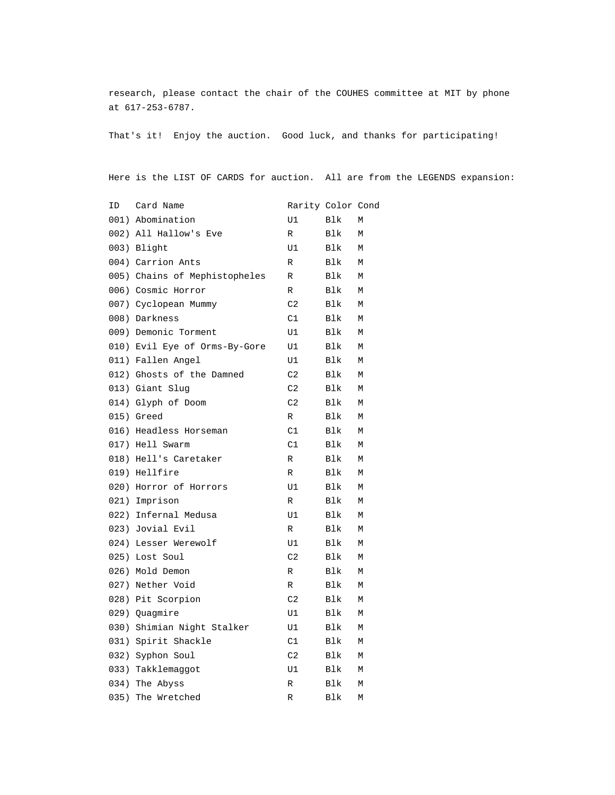research, please contact the chair of the COUHES committee at MIT by phone at 617-253-6787.

That's it! Enjoy the auction. Good luck, and thanks for participating!

Here is the LIST OF CARDS for auction. All are from the LEGENDS expansion:

| ID   | Card Name                     | Rarity Color Cond |      |   |
|------|-------------------------------|-------------------|------|---|
|      | 001) Abomination              | U1                | Blk  | М |
|      | 002) All Hallow's Eve         | $\mathbb R$       | Blk  | М |
|      | 003) Blight                   | U1                | Blk  | М |
|      | 004) Carrion Ants             | R                 | Blk  | М |
|      | 005) Chains of Mephistopheles | R                 | Blk  | М |
|      | 006) Cosmic Horror            | R                 | Blk  | М |
|      | 007) Cyclopean Mummy          | C2                | Blk  | М |
|      | 008) Darkness                 | C1                | Blk  | М |
|      | 009) Demonic Torment          | U1                | Blk  | М |
|      | 010) Evil Eye of Orms-By-Gore | U1                | Blk  | М |
|      | 011) Fallen Angel             | U1                | Blk  | М |
|      | 012) Ghosts of the Damned     | C2                | Blk  | М |
|      | 013) Giant Slug               | C2                | Blk  | М |
|      | 014) Glyph of Doom            | C2                | Blk  | М |
|      | 015) Greed                    | R                 | Blk  | М |
|      | 016) Headless Horseman        | C1                | Blk. | М |
|      | 017) Hell Swarm               | C1                | Blk  | М |
|      | 018) Hell's Caretaker         | R                 | Blk  | М |
|      | 019) Hellfire                 | R                 | Blk. | М |
|      | 020) Horror of Horrors        | U1                | Blk  | М |
|      | 021) Imprison                 | $\mathbb R$       | Blk  | М |
|      | 022) Infernal Medusa          | U1                | Blk  | М |
|      | 023) Jovial Evil              | $\mathbb R$       | Blk  | М |
|      | 024) Lesser Werewolf          | U1                | Blk  | М |
|      | 025) Lost Soul                | C2                | Blk  | М |
|      | 026) Mold Demon               | R                 | Blk  | М |
|      | 027) Nether Void              | R                 | Blk  | М |
|      | 028) Pit Scorpion             | C2                | Blk  | М |
|      | 029) Quagmire                 | U1                | Blk  | М |
|      | 030) Shimian Night Stalker    | U1                | Blk  | М |
|      | 031) Spirit Shackle           | C1                | Blk  | М |
|      | 032) Syphon Soul              | C2                | Blk  | М |
|      | 033) Takklemaggot             | U1                | Blk  | М |
|      | 034) The Abyss                | R                 | Blk  | М |
| 035) | The Wretched                  | R                 | Blk  | М |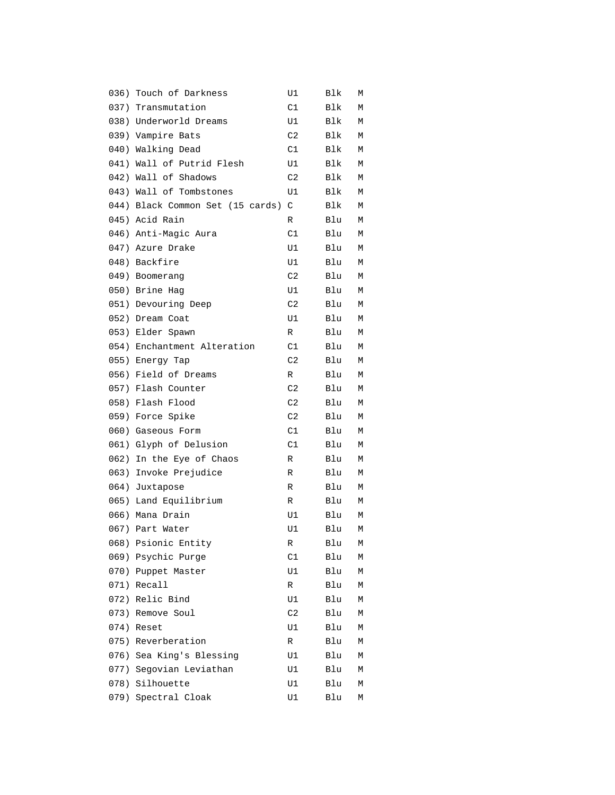|      | 036) Touch of Darkness           | U1             | Blk | М |
|------|----------------------------------|----------------|-----|---|
|      | 037) Transmutation               | C1             | Blk | М |
|      | 038) Underworld Dreams           | U1             | Blk | М |
|      | 039) Vampire Bats                | C <sub>2</sub> | Blk | М |
|      | 040) Walking Dead                | C1             | Blk | М |
|      | 041) Wall of Putrid Flesh        | U1             | Blk | М |
|      | 042) Wall of Shadows             | C2             | Blk | М |
|      | 043) Wall of Tombstones          | U1             | Blk | М |
|      | 044) Black Common Set (15 cards) | C              | Blk | М |
|      | 045) Acid Rain                   | R              | Blu | М |
|      | 046) Anti-Magic Aura             | C1             | Blu | М |
|      | 047) Azure Drake                 | U1             | Blu | М |
|      | 048) Backfire                    | U1             | Blu | М |
|      | 049) Boomerang                   | C2             | Blu | М |
|      | 050) Brine Hag                   | U1             | Blu | М |
|      | 051) Devouring Deep              | C <sub>2</sub> | Blu | М |
|      | 052) Dream Coat                  | U1             | Blu | М |
|      | 053) Elder Spawn                 | R              | Blu | М |
|      | 054) Enchantment Alteration      | C1             | Blu | М |
|      | 055) Energy Tap                  | C2             | Blu | М |
|      | 056) Field of Dreams             | R              | Blu | М |
|      | 057) Flash Counter               | C <sub>2</sub> | Blu | М |
|      | 058) Flash Flood                 | C2             | Blu | М |
|      | 059) Force Spike                 | C2             | Blu | М |
|      | 060) Gaseous Form                | C1             | Blu | М |
|      | 061) Glyph of Delusion           | C1             | Blu | М |
|      | 062) In the Eye of Chaos         | R              | Blu | М |
|      | 063) Invoke Prejudice            | R              | Blu | М |
|      | 064) Juxtapose                   | R              | Blu | М |
|      | 065) Land Equilibrium            | R              | Blu | Μ |
|      | 066) Mana Drain                  | U1             | Blu | М |
|      | 067) Part Water                  | U1             | Blu | М |
| 068) | Psionic Entity                   | R              | Blu | М |
| 069) | Psychic Purge                    | C1             | Blu | М |
| 070) | Puppet Master                    | U1             | Blu | М |
|      | 071) Recall                      | R              | Blu | М |
| 072) | Relic Bind                       | U1             | Blu | М |
| 073) | Remove Soul                      | C2             | Blu | М |
| 074) | Reset                            | U1             | Blu | Μ |
| 075) | Reverberation                    | R              | Blu | М |
| 076) | Sea King's Blessing              | U1             | Blu | М |
| 077) | Segovian Leviathan               | U1             | Blu | Μ |
| 078) | Silhouette                       | U1             | Blu | Μ |
| 079) | Spectral Cloak                   | U1             | Blu | Μ |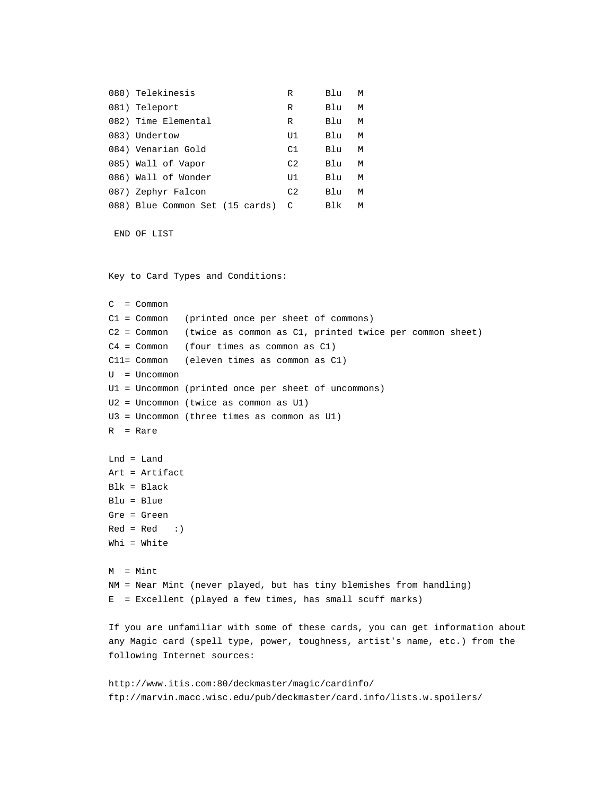| 080) Telekinesis                  | R  | Blu | M |
|-----------------------------------|----|-----|---|
| 081) Teleport                     | R  | Blu | M |
| 082) Time Elemental               | R  | Blu | M |
| 083) Undertow                     | U1 | Blu | M |
| 084) Venarian Gold                | C1 | Blu | M |
| 085) Wall of Vapor                | C2 | Blu | M |
| 086) Wall of Wonder               | U1 | Blu | M |
| 087) Zephyr Falcon                | C2 | Blu | M |
| 088) Blue Common Set (15 cards) C |    | Blk | M |

```
 END OF LIST
```
Key to Card Types and Conditions:

C = Common C1 = Common (printed once per sheet of commons) C2 = Common (twice as common as C1, printed twice per common sheet) C4 = Common (four times as common as C1) C11= Common (eleven times as common as C1) U = Uncommon U1 = Uncommon (printed once per sheet of uncommons) U2 = Uncommon (twice as common as U1) U3 = Uncommon (three times as common as U1) R = Rare Lnd = Land Art = Artifact Blk = Black Blu = Blue Gre = Green  $Red = Red : }$ Whi = White M = Mint NM = Near Mint (never played, but has tiny blemishes from handling) E = Excellent (played a few times, has small scuff marks) If you are unfamiliar with some of these cards, you can get information about any Magic card (spell type, power, toughness, artist's name, etc.) from the following Internet sources: http://www.itis.com:80/deckmaster/magic/cardinfo/

```
ftp://marvin.macc.wisc.edu/pub/deckmaster/card.info/lists.w.spoilers/
```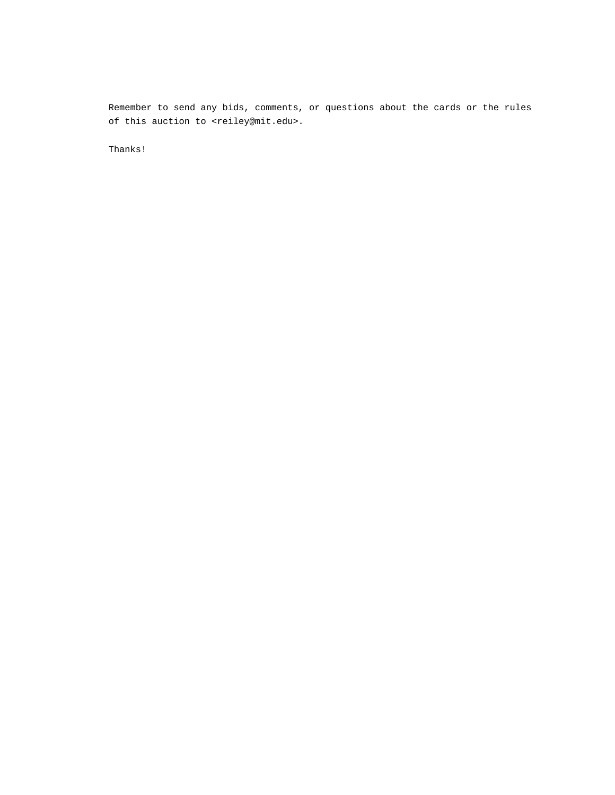Remember to send any bids, comments, or questions about the cards or the rules of this auction to <reiley@mit.edu>.

Thanks!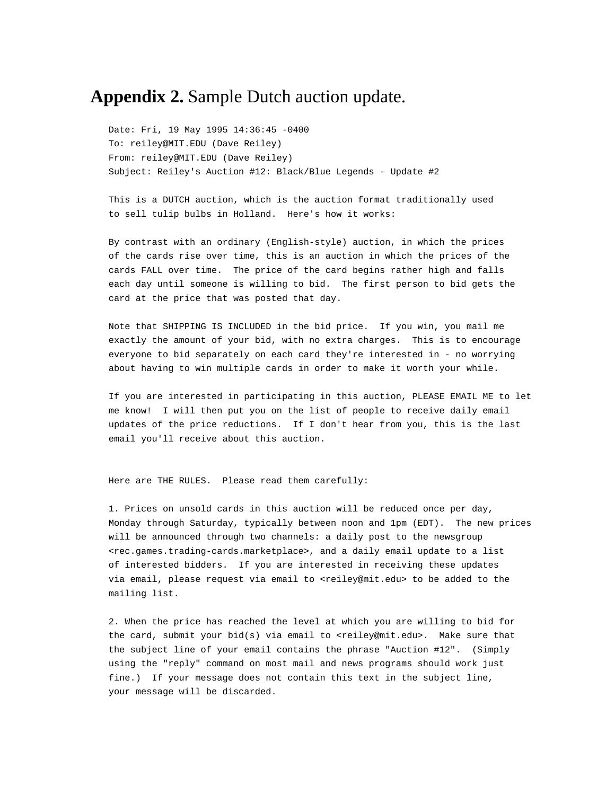## **Appendix 2.** Sample Dutch auction update.

Date: Fri, 19 May 1995 14:36:45 -0400 To: reiley@MIT.EDU (Dave Reiley) From: reiley@MIT.EDU (Dave Reiley) Subject: Reiley's Auction #12: Black/Blue Legends - Update #2

This is a DUTCH auction, which is the auction format traditionally used to sell tulip bulbs in Holland. Here's how it works:

By contrast with an ordinary (English-style) auction, in which the prices of the cards rise over time, this is an auction in which the prices of the cards FALL over time. The price of the card begins rather high and falls each day until someone is willing to bid. The first person to bid gets the card at the price that was posted that day.

Note that SHIPPING IS INCLUDED in the bid price. If you win, you mail me exactly the amount of your bid, with no extra charges. This is to encourage everyone to bid separately on each card they're interested in - no worrying about having to win multiple cards in order to make it worth your while.

If you are interested in participating in this auction, PLEASE EMAIL ME to let me know! I will then put you on the list of people to receive daily email updates of the price reductions. If I don't hear from you, this is the last email you'll receive about this auction.

Here are THE RULES. Please read them carefully:

1. Prices on unsold cards in this auction will be reduced once per day, Monday through Saturday, typically between noon and 1pm (EDT). The new prices will be announced through two channels: a daily post to the newsgroup <rec.games.trading-cards.marketplace>, and a daily email update to a list of interested bidders. If you are interested in receiving these updates via email, please request via email to <reiley@mit.edu> to be added to the mailing list.

2. When the price has reached the level at which you are willing to bid for the card, submit your bid(s) via email to <reiley@mit.edu>. Make sure that the subject line of your email contains the phrase "Auction #12". (Simply using the "reply" command on most mail and news programs should work just fine.) If your message does not contain this text in the subject line, your message will be discarded.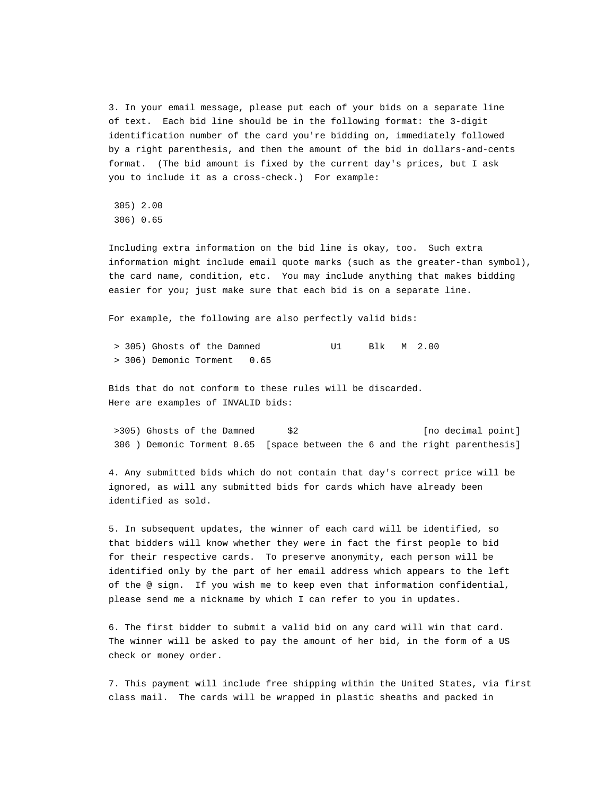3. In your email message, please put each of your bids on a separate line of text. Each bid line should be in the following format: the 3-digit identification number of the card you're bidding on, immediately followed by a right parenthesis, and then the amount of the bid in dollars-and-cents format. (The bid amount is fixed by the current day's prices, but I ask you to include it as a cross-check.) For example:

305) 2.00

306) 0.65

Including extra information on the bid line is okay, too. Such extra information might include email quote marks (such as the greater-than symbol), the card name, condition, etc. You may include anything that makes bidding easier for you; just make sure that each bid is on a separate line.

For example, the following are also perfectly valid bids:

| > 305) Ghosts of the Damned |  | Blk M 2.00 |  |
|-----------------------------|--|------------|--|
| > 306) Demonic Torment 0.65 |  |            |  |

Bids that do not conform to these rules will be discarded. Here are examples of INVALID bids:

>305) Ghosts of the Damned  $$2$  [no decimal point] 306 ) Demonic Torment 0.65 [space between the 6 and the right parenthesis]

4. Any submitted bids which do not contain that day's correct price will be ignored, as will any submitted bids for cards which have already been identified as sold.

5. In subsequent updates, the winner of each card will be identified, so that bidders will know whether they were in fact the first people to bid for their respective cards. To preserve anonymity, each person will be identified only by the part of her email address which appears to the left of the @ sign. If you wish me to keep even that information confidential, please send me a nickname by which I can refer to you in updates.

6. The first bidder to submit a valid bid on any card will win that card. The winner will be asked to pay the amount of her bid, in the form of a US check or money order.

7. This payment will include free shipping within the United States, via first class mail. The cards will be wrapped in plastic sheaths and packed in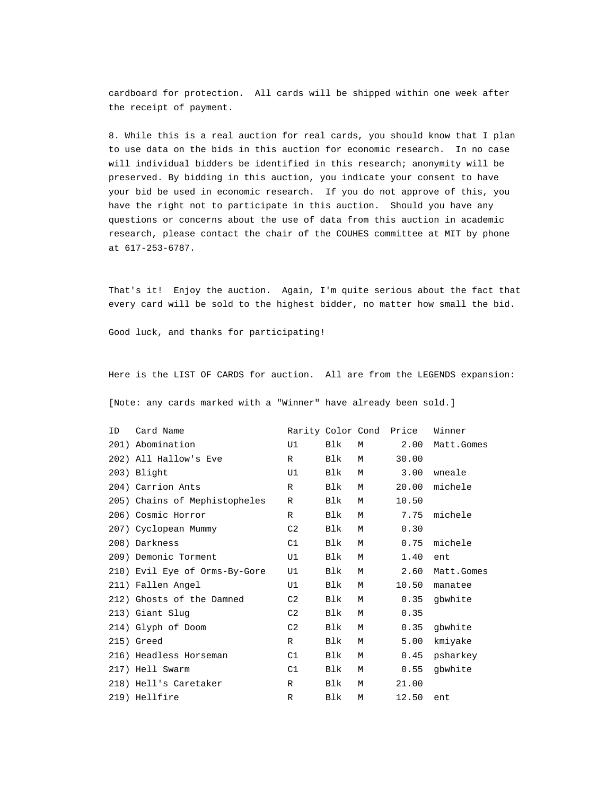cardboard for protection. All cards will be shipped within one week after the receipt of payment.

8. While this is a real auction for real cards, you should know that I plan to use data on the bids in this auction for economic research. In no case will individual bidders be identified in this research; anonymity will be preserved. By bidding in this auction, you indicate your consent to have your bid be used in economic research. If you do not approve of this, you have the right not to participate in this auction. Should you have any questions or concerns about the use of data from this auction in academic research, please contact the chair of the COUHES committee at MIT by phone at 617-253-6787.

That's it! Enjoy the auction. Again, I'm quite serious about the fact that every card will be sold to the highest bidder, no matter how small the bid.

Good luck, and thanks for participating!

Here is the LIST OF CARDS for auction. All are from the LEGENDS expansion:

[Note: any cards marked with a "Winner" have already been sold.]

| ID | Card Name                     |                |            |   | Rarity Color Cond Price | Winner     |
|----|-------------------------------|----------------|------------|---|-------------------------|------------|
|    | 201) Abomination              | U1             | Blk        | M | 2.00                    | Matt.Gomes |
|    | 202) All Hallow's Eve         | $\mathbb{R}$   | Blk        | M | 30.00                   |            |
|    | 203) Blight                   | U1             | Blk        | M | 3.00                    | wneale     |
|    | 204) Carrion Ants             | $\mathbb{R}$   | <b>Blk</b> | M | 20.00                   | michele    |
|    | 205) Chains of Mephistopheles | $\mathbb{R}$   | Blk        | M | 10.50                   |            |
|    | 206) Cosmic Horror            | $\mathbb{R}$   | <b>Blk</b> | M | 7.75                    | michele    |
|    | 207) Cyclopean Mummy          | C <sub>2</sub> | Blk        | M | 0.30                    |            |
|    | 208) Darkness                 | C1             | Blk        | M | 0.75                    | michele    |
|    | 209) Demonic Torment          | U1             | Blk        | M | 1.40                    | ent        |
|    | 210) Evil Eye of Orms-By-Gore | U1             | Blk        | М | 2.60                    | Matt.Gomes |
|    | 211) Fallen Angel             | U1             | Blk        | M | 10.50                   | manatee    |
|    | 212) Ghosts of the Damned     | C2             | <b>Blk</b> | M | 0.35                    | gbwhite    |
|    | 213) Giant Slug               | C <sub>2</sub> | <b>Blk</b> | М | 0.35                    |            |
|    | 214) Glyph of Doom            | C2             | <b>Blk</b> | М | 0.35                    | gbwhite    |
|    | 215) Greed                    | $\mathbb{R}$   | Blk        | M | 5.00                    | kmiyake    |
|    | 216) Headless Horseman        | C1             | Blk        | М | 0.45                    | psharkey   |
|    | 217) Hell Swarm               | C1             | Blk        | М | 0.55                    | gbwhite    |
|    | 218) Hell's Caretaker         | $\mathbb{R}$   | Blk        | M | 21.00                   |            |
|    | 219) Hellfire                 | R              | Blk        | M | 12.50                   | ent        |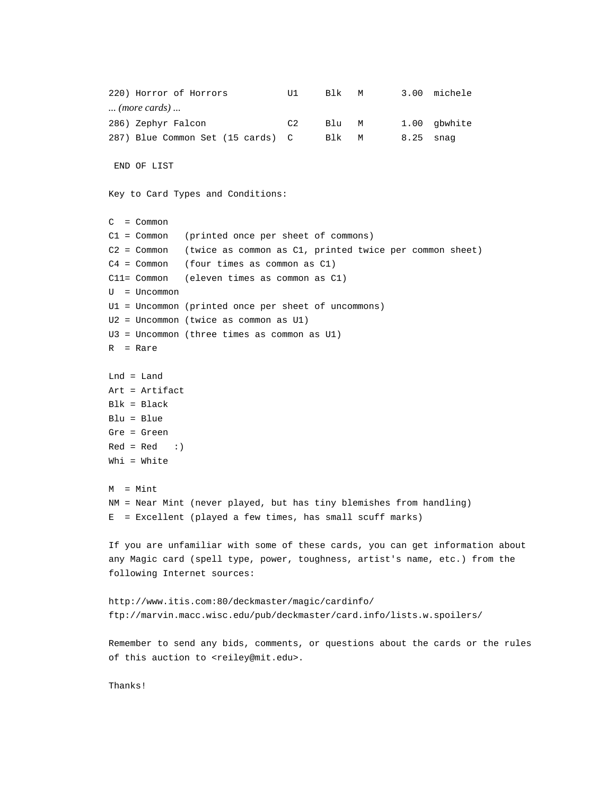```
220) Horror of Horrors U1 Blk M 3.00 michele
... (more cards) ...
286) Zephyr Falcon C2 Blu M 1.00 gbwhite
287) Blue Common Set (15 cards) C Blk M 8.25 snag
  END OF LIST
Key to Card Types and Conditions:
C = Common
C1 = Common (printed once per sheet of commons)
C2 = Common (twice as common as C1, printed twice per common sheet)
C4 = Common (four times as common as C1)
C11= Common (eleven times as common as C1)
U = Uncommon
U1 = Uncommon (printed once per sheet of uncommons)
U2 = Uncommon (twice as common as U1)
U3 = Uncommon (three times as common as U1)
R = Rare
Lnd = Land
Art = Artifact
Blk = Black
Blu = Blue
Gre = Green
Red = Red : }Whi = White
M = MintNM = Near Mint (never played, but has tiny blemishes from handling)
E = Excellent (played a few times, has small scuff marks)
If you are unfamiliar with some of these cards, you can get information about
any Magic card (spell type, power, toughness, artist's name, etc.) from the
following Internet sources:
http://www.itis.com:80/deckmaster/magic/cardinfo/
ftp://marvin.macc.wisc.edu/pub/deckmaster/card.info/lists.w.spoilers/
Remember to send any bids, comments, or questions about the cards or the rules
of this auction to <reiley@mit.edu>.
Thanks!
```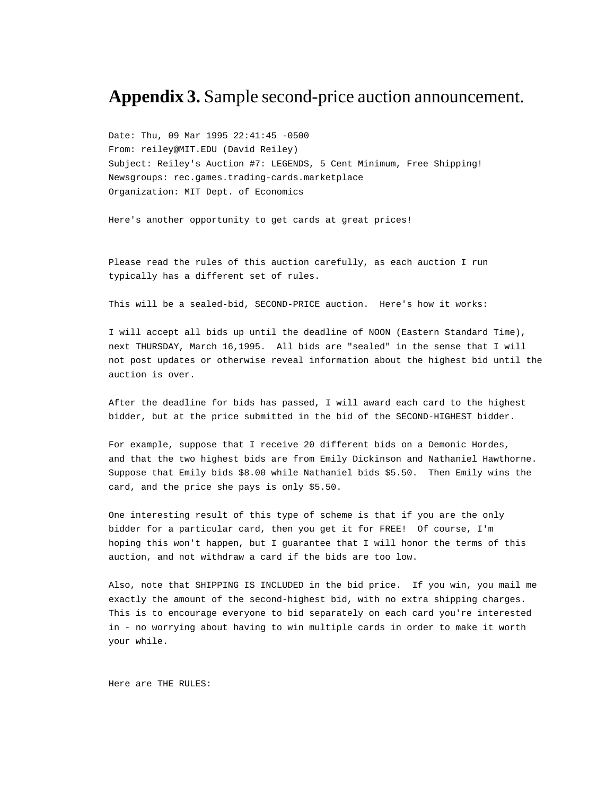## **Appendix 3.** Sample second-price auction announcement.

Date: Thu, 09 Mar 1995 22:41:45 -0500 From: reiley@MIT.EDU (David Reiley) Subject: Reiley's Auction #7: LEGENDS, 5 Cent Minimum, Free Shipping! Newsgroups: rec.games.trading-cards.marketplace Organization: MIT Dept. of Economics

Here's another opportunity to get cards at great prices!

Please read the rules of this auction carefully, as each auction I run typically has a different set of rules.

This will be a sealed-bid, SECOND-PRICE auction. Here's how it works:

I will accept all bids up until the deadline of NOON (Eastern Standard Time), next THURSDAY, March 16,1995. All bids are "sealed" in the sense that I will not post updates or otherwise reveal information about the highest bid until the auction is over.

After the deadline for bids has passed, I will award each card to the highest bidder, but at the price submitted in the bid of the SECOND-HIGHEST bidder.

For example, suppose that I receive 20 different bids on a Demonic Hordes, and that the two highest bids are from Emily Dickinson and Nathaniel Hawthorne. Suppose that Emily bids \$8.00 while Nathaniel bids \$5.50. Then Emily wins the card, and the price she pays is only \$5.50.

One interesting result of this type of scheme is that if you are the only bidder for a particular card, then you get it for FREE! Of course, I'm hoping this won't happen, but I guarantee that I will honor the terms of this auction, and not withdraw a card if the bids are too low.

Also, note that SHIPPING IS INCLUDED in the bid price. If you win, you mail me exactly the amount of the second-highest bid, with no extra shipping charges. This is to encourage everyone to bid separately on each card you're interested in - no worrying about having to win multiple cards in order to make it worth your while.

Here are THE RULES: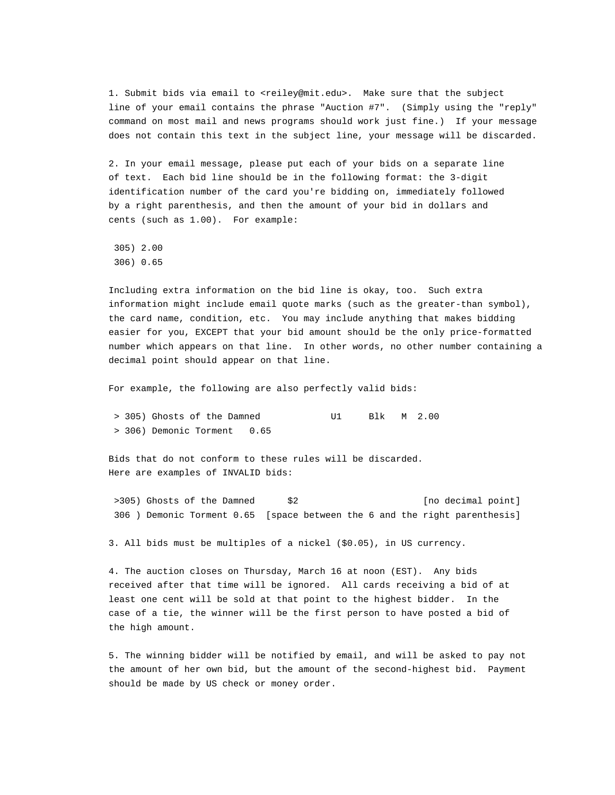1. Submit bids via email to <reiley@mit.edu>. Make sure that the subject line of your email contains the phrase "Auction #7". (Simply using the "reply" command on most mail and news programs should work just fine.) If your message does not contain this text in the subject line, your message will be discarded.

2. In your email message, please put each of your bids on a separate line of text. Each bid line should be in the following format: the 3-digit identification number of the card you're bidding on, immediately followed by a right parenthesis, and then the amount of your bid in dollars and cents (such as 1.00). For example:

 305) 2.00 306) 0.65

Including extra information on the bid line is okay, too. Such extra information might include email quote marks (such as the greater-than symbol), the card name, condition, etc. You may include anything that makes bidding easier for you, EXCEPT that your bid amount should be the only price-formatted number which appears on that line. In other words, no other number containing a decimal point should appear on that line.

For example, the following are also perfectly valid bids:

 > 305) Ghosts of the Damned U1 Blk M 2.00 > 306) Demonic Torment 0.65

Bids that do not conform to these rules will be discarded. Here are examples of INVALID bids:

>305) Ghosts of the Damned \$2 [no decimal point] 306 ) Demonic Torment 0.65 [space between the 6 and the right parenthesis]

3. All bids must be multiples of a nickel (\$0.05), in US currency.

4. The auction closes on Thursday, March 16 at noon (EST). Any bids received after that time will be ignored. All cards receiving a bid of at least one cent will be sold at that point to the highest bidder. In the case of a tie, the winner will be the first person to have posted a bid of the high amount.

5. The winning bidder will be notified by email, and will be asked to pay not the amount of her own bid, but the amount of the second-highest bid. Payment should be made by US check or money order.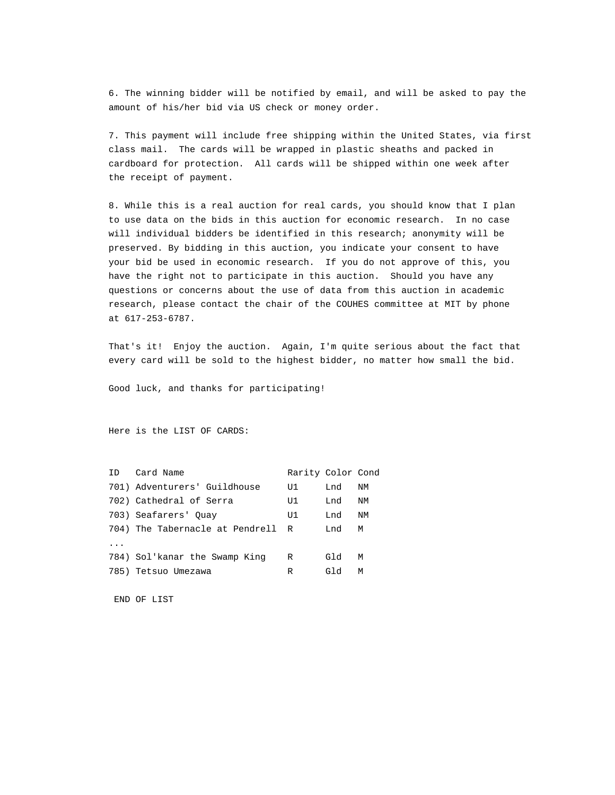6. The winning bidder will be notified by email, and will be asked to pay the amount of his/her bid via US check or money order.

7. This payment will include free shipping within the United States, via first class mail. The cards will be wrapped in plastic sheaths and packed in cardboard for protection. All cards will be shipped within one week after the receipt of payment.

8. While this is a real auction for real cards, you should know that I plan to use data on the bids in this auction for economic research. In no case will individual bidders be identified in this research; anonymity will be preserved. By bidding in this auction, you indicate your consent to have your bid be used in economic research. If you do not approve of this, you have the right not to participate in this auction. Should you have any questions or concerns about the use of data from this auction in academic research, please contact the chair of the COUHES committee at MIT by phone at 617-253-6787.

That's it! Enjoy the auction. Again, I'm quite serious about the fact that every card will be sold to the highest bidder, no matter how small the bid.

Good luck, and thanks for participating!

Here is the LIST OF CARDS:

| ID | Card Name                         | Rarity Color Cond |     |    |
|----|-----------------------------------|-------------------|-----|----|
|    | 701) Adventurers' Guildhouse      | U1                | Lnd | ΝM |
|    | 702) Cathedral of Serra           | U1                | Lnd | ΝM |
|    | 703) Seafarers' Ouay              | U1                | Lnd | ΝM |
|    | 704) The Tabernacle at Pendrell R |                   | Lnd | M  |
|    |                                   |                   |     |    |
|    | 784) Sol'kanar the Swamp King     | R                 | Gld | М  |
|    | 785) Tetsuo Umezawa               | R                 | Gld | М  |

END OF LIST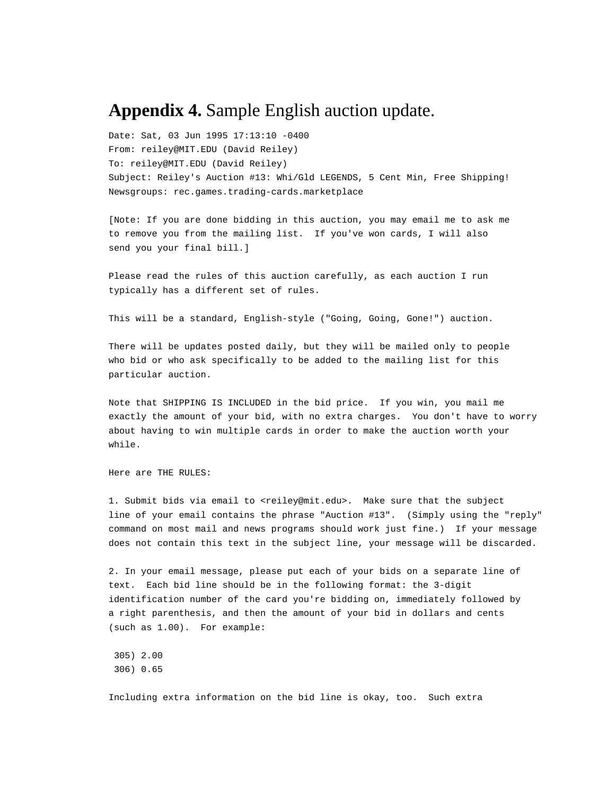## **Appendix 4.** Sample English auction update.

Date: Sat, 03 Jun 1995 17:13:10 -0400 From: reiley@MIT.EDU (David Reiley) To: reiley@MIT.EDU (David Reiley) Subject: Reiley's Auction #13: Whi/Gld LEGENDS, 5 Cent Min, Free Shipping! Newsgroups: rec.games.trading-cards.marketplace

[Note: If you are done bidding in this auction, you may email me to ask me to remove you from the mailing list. If you've won cards, I will also send you your final bill.]

Please read the rules of this auction carefully, as each auction I run typically has a different set of rules.

This will be a standard, English-style ("Going, Going, Gone!") auction.

There will be updates posted daily, but they will be mailed only to people who bid or who ask specifically to be added to the mailing list for this particular auction.

Note that SHIPPING IS INCLUDED in the bid price. If you win, you mail me exactly the amount of your bid, with no extra charges. You don't have to worry about having to win multiple cards in order to make the auction worth your while.

Here are THE RULES:

1. Submit bids via email to <reiley@mit.edu>. Make sure that the subject line of your email contains the phrase "Auction #13". (Simply using the "reply" command on most mail and news programs should work just fine.) If your message does not contain this text in the subject line, your message will be discarded.

2. In your email message, please put each of your bids on a separate line of text. Each bid line should be in the following format: the 3-digit identification number of the card you're bidding on, immediately followed by a right parenthesis, and then the amount of your bid in dollars and cents (such as 1.00). For example:

 305) 2.00 306) 0.65

Including extra information on the bid line is okay, too. Such extra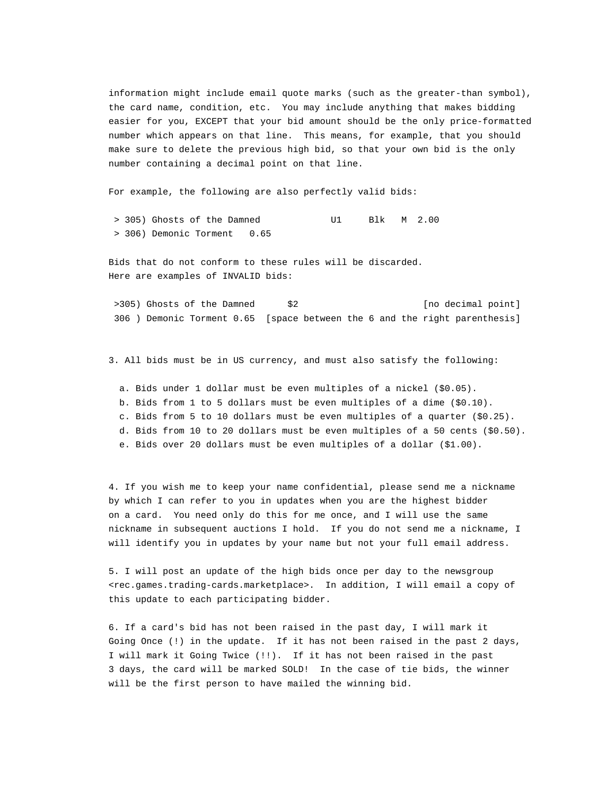information might include email quote marks (such as the greater-than symbol), the card name, condition, etc. You may include anything that makes bidding easier for you, EXCEPT that your bid amount should be the only price-formatted number which appears on that line. This means, for example, that you should make sure to delete the previous high bid, so that your own bid is the only number containing a decimal point on that line.

For example, the following are also perfectly valid bids:

 > 305) Ghosts of the Damned U1 Blk M 2.00 > 306) Demonic Torment 0.65

Bids that do not conform to these rules will be discarded. Here are examples of INVALID bids:

>305) Ghosts of the Damned  $$2$  [no decimal point] 306 ) Demonic Torment 0.65 [space between the 6 and the right parenthesis]

3. All bids must be in US currency, and must also satisfy the following:

 a. Bids under 1 dollar must be even multiples of a nickel (\$0.05). b. Bids from 1 to 5 dollars must be even multiples of a dime (\$0.10). c. Bids from 5 to 10 dollars must be even multiples of a quarter (\$0.25). d. Bids from 10 to 20 dollars must be even multiples of a 50 cents (\$0.50). e. Bids over 20 dollars must be even multiples of a dollar (\$1.00).

4. If you wish me to keep your name confidential, please send me a nickname by which I can refer to you in updates when you are the highest bidder on a card. You need only do this for me once, and I will use the same nickname in subsequent auctions I hold. If you do not send me a nickname, I will identify you in updates by your name but not your full email address.

5. I will post an update of the high bids once per day to the newsgroup <rec.games.trading-cards.marketplace>. In addition, I will email a copy of this update to each participating bidder.

6. If a card's bid has not been raised in the past day, I will mark it Going Once (!) in the update. If it has not been raised in the past 2 days, I will mark it Going Twice (!!). If it has not been raised in the past 3 days, the card will be marked SOLD! In the case of tie bids, the winner will be the first person to have mailed the winning bid.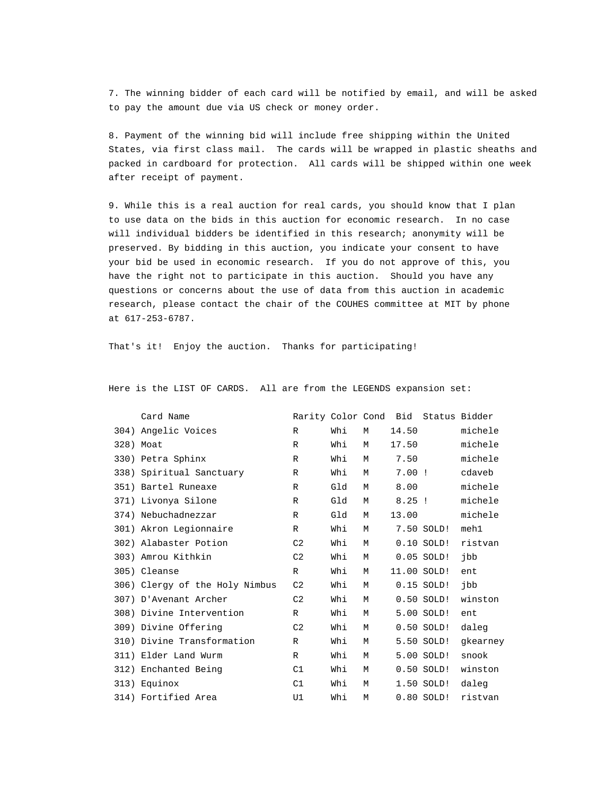7. The winning bidder of each card will be notified by email, and will be asked to pay the amount due via US check or money order.

8. Payment of the winning bid will include free shipping within the United States, via first class mail. The cards will be wrapped in plastic sheaths and packed in cardboard for protection. All cards will be shipped within one week after receipt of payment.

9. While this is a real auction for real cards, you should know that I plan to use data on the bids in this auction for economic research. In no case will individual bidders be identified in this research; anonymity will be preserved. By bidding in this auction, you indicate your consent to have your bid be used in economic research. If you do not approve of this, you have the right not to participate in this auction. Should you have any questions or concerns about the use of data from this auction in academic research, please contact the chair of the COUHES committee at MIT by phone at 617-253-6787.

That's it! Enjoy the auction. Thanks for participating!

| Card Name                      |                |     |   |             | Rarity Color Cond Bid Status Bidder |          |
|--------------------------------|----------------|-----|---|-------------|-------------------------------------|----------|
| 304) Angelic Voices            | $\mathbb{R}$   | Whi | M | 14.50       |                                     | michele  |
| 328) Moat                      | $\mathbb{R}$   | Whi | M | 17.50       |                                     | michele  |
| 330) Petra Sphinx              | R              | Whi | M | 7.50        |                                     | michele  |
| 338) Spiritual Sanctuary       | $\mathbb{R}$   | Whi | М | $7.00$ !    |                                     | cdaveb   |
| 351) Bartel Runeaxe            | R              | Gld | M | 8.00        |                                     | michele  |
| 371) Livonya Silone            | R              | Gld | M | $8.25$ !    |                                     | michele  |
| 374) Nebuchadnezzar            | $\mathbb{R}$   | Gld | М | 13.00       |                                     | michele  |
| 301) Akron Legionnaire         | R              | Whi | M |             | 7.50 SOLD!                          | meh1     |
| 302) Alabaster Potion          | C <sub>2</sub> | Whi | M |             | $0.10$ SOLD!                        | ristvan  |
| 303) Amrou Kithkin             | C <sub>2</sub> | Whi | M |             | $0.05$ SOLD!                        | jbb      |
| 305) Cleanse                   | R              | Whi | M | 11.00 SOLD! |                                     | ent      |
| 306) Clergy of the Holy Nimbus | C <sub>2</sub> | Whi | M |             | $0.15$ SOLD!                        | jpp      |
| 307) D'Avenant Archer          | C <sub>2</sub> | Whi | M |             | $0.50$ SOLD!                        | winston  |
| 308) Divine Intervention       | R              | Whi | M |             | 5.00 SOLD!                          | ent      |
| 309) Divine Offering           | C <sub>2</sub> | Whi | M |             | $0.50$ SOLD!                        | daleg    |
| 310) Divine Transformation     | $\mathbb{R}$   | Whi | M |             | 5.50 SOLD!                          | gkearney |
| 311) Elder Land Wurm           | R              | Whi | M |             | 5.00 SOLD!                          | snook    |
| 312) Enchanted Being           | C1             | Whi | M |             | $0.50$ SOLD!                        | winston  |
| 313) Equinox                   | C1             | Whi | M |             | 1.50 SOLD!                          | daleg    |
| 314) Fortified Area            | U1             | Whi | M |             | $0.80$ SOLD!                        | ristvan  |

Here is the LIST OF CARDS. All are from the LEGENDS expansion set: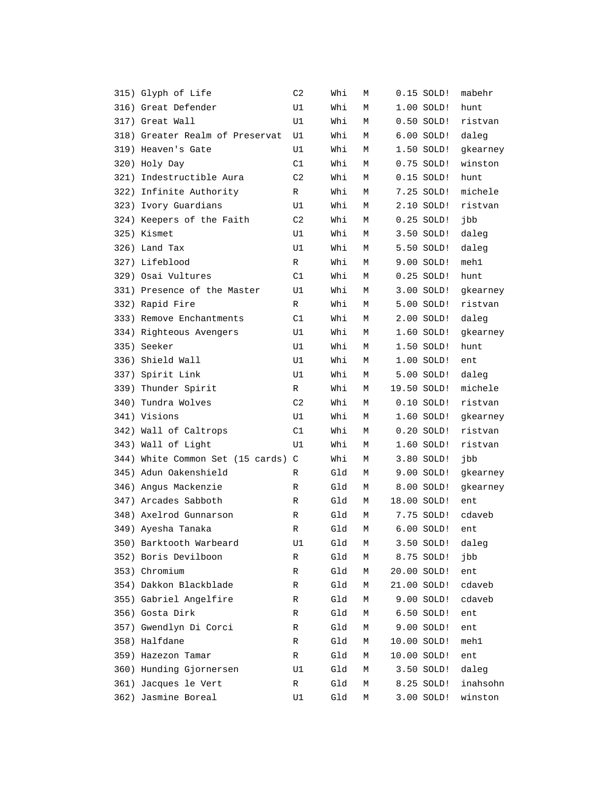| 315) Glyph of Life                 | C <sub>2</sub> | Whi | М |             | $0.15$ SOLD! | mabehr   |
|------------------------------------|----------------|-----|---|-------------|--------------|----------|
| 316) Great Defender                | U1             | Whi | М |             | $1.00$ SOLD! | hunt     |
| 317) Great Wall                    | U1             | Whi | М |             | $0.50$ SOLD! | ristvan  |
| 318) Greater Realm of Preservat    | U1             | Whi | М |             | $6.00$ SOLD! | daleg    |
| 319) Heaven's Gate                 | U1             | Whi | М |             | 1.50 SOLD!   | gkearney |
| 320) Holy Day                      | C1             | Whi | М |             | $0.75$ SOLD! | winston  |
| 321) Indestructible Aura           | C <sub>2</sub> | Whi | М |             | $0.15$ SOLD! | hunt     |
| 322) Infinite Authority            | R              | Whi | М |             | 7.25 SOLD!   | michele  |
| 323) Ivory Guardians               | U1             | Whi | М |             | 2.10 SOLD!   | ristvan  |
| 324) Keepers of the Faith          | C <sub>2</sub> | Whi | М |             | $0.25$ SOLD! | jbb      |
| 325) Kismet                        | U1             | Whi | М |             | 3.50 SOLD!   | daleg    |
| 326) Land Tax                      | U1             | Whi | М |             | 5.50 SOLD!   | daleg    |
| 327) Lifeblood                     | R              | Whi | М |             | 9.00 SOLD!   | meh1     |
| 329) Osai Vultures                 | C1             | Whi | М |             | $0.25$ SOLD! | hunt     |
| 331) Presence of the Master        | U1             | Whi | М |             | 3.00 SOLD!   | gkearney |
| 332) Rapid Fire                    | R              | Whi | М |             | 5.00 SOLD!   | ristvan  |
| 333) Remove Enchantments           | C1             | Whi | М |             | 2.00 SOLD!   | daleg    |
| 334) Righteous Avengers            | U1             | Whi | М |             | 1.60 SOLD!   | gkearney |
| 335) Seeker                        | U1             | Whi | М |             | 1.50 SOLD!   | hunt     |
| 336) Shield Wall                   | U1             | Whi | М |             | 1.00 SOLD!   | ent      |
| 337) Spirit Link                   | U1             | Whi | М |             | 5.00 SOLD!   | daleg    |
| 339) Thunder Spirit                | R              | Whi | М |             | 19.50 SOLD!  | michele  |
| 340) Tundra Wolves                 | C <sub>2</sub> | Whi | М |             | $0.10$ SOLD! | ristvan  |
| 341) Visions                       | U1             | Whi | М |             | 1.60 SOLD!   | gkearney |
| 342) Wall of Caltrops              | C1             | Whi | М |             | $0.20$ SOLD! | ristvan  |
| 343) Wall of Light                 | U1             | Whi | М |             | 1.60 SOLD!   | ristvan  |
| 344) White Common Set (15 cards) C |                | Whi | М |             | 3.80 SOLD!   | jbb      |
| 345) Adun Oakenshield              | R              | Gld | М |             | 9.00 SOLD!   | gkearney |
| 346) Angus Mackenzie               | R              | Gld | М |             | 8.00 SOLD!   | gkearney |
| 347) Arcades Sabboth               | R              | Gld | М |             | 18.00 SOLD!  | ent      |
| 348) Axelrod Gunnarson             | R              | Gld | М |             | 7.75 SOLD!   | cdaveb   |
| 349) Ayesha Tanaka                 | R              | Gld | М |             | 6.00 SOLD!   | ent      |
| 350) Barktooth Warbeard            | U1             | Gld | Μ |             | 3.50 SOLD!   | daleg    |
| 352) Boris Devilboon               | R              | Gld | Μ |             | 8.75 SOLD!   | jbb      |
| 353) Chromium                      | R              | Gld | Μ |             | 20.00 SOLD!  | ent      |
| 354) Dakkon Blackblade             | R              | Gld | М |             | 21.00 SOLD!  | cdaveb   |
| 355) Gabriel Angelfire             | R              | Gld | М |             | 9.00 SOLD!   | cdaveb   |
| 356) Gosta Dirk                    | R              | Gld | М |             | 6.50 SOLD!   | ent      |
| 357) Gwendlyn Di Corci             | R              | Gld | Μ |             | 9.00 SOLD!   | ent      |
| 358) Halfdane                      | R              | Gld | Μ | 10.00 SOLD! |              | meh1     |
| 359) Hazezon Tamar                 | R              | Gld | М | 10.00 SOLD! |              | ent      |
| 360) Hunding Gjornersen            | U1             | Gld | М |             | 3.50 SOLD!   | daleg    |
| 361) Jacques le Vert               | R              | Gld | Μ |             | 8.25 SOLD!   | inahsohn |
| 362) Jasmine Boreal                | U1             | Gld | Μ |             | 3.00 SOLD!   | winston  |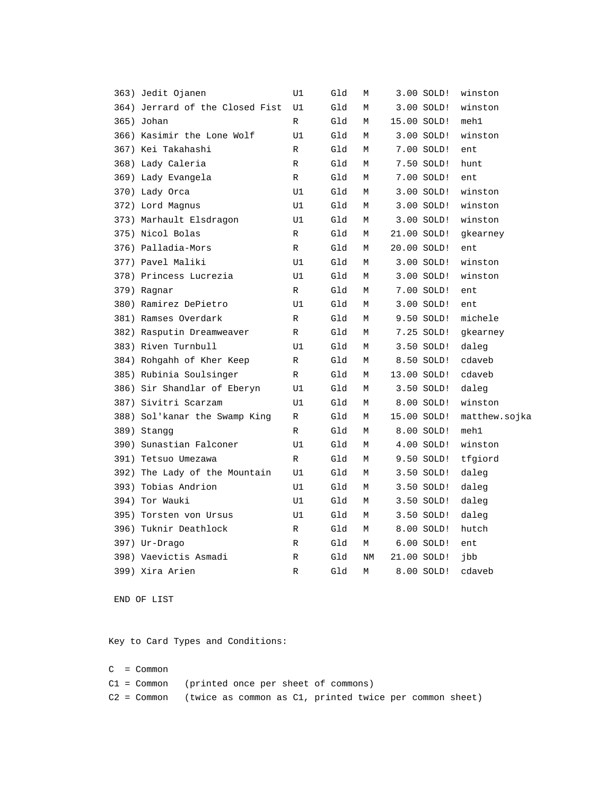|  | 363) Jedit Ojanen               | U1           | Gld | М  | 3.00 SOLD!   | winston       |
|--|---------------------------------|--------------|-----|----|--------------|---------------|
|  | 364) Jerrard of the Closed Fist | U1           | Gld | М  | $3.00$ SOLD! | winston       |
|  | 365) Johan                      | R            | Gld | М  | 15.00 SOLD!  | meh1          |
|  | 366) Kasimir the Lone Wolf      | U1           | Gld | М  | 3.00 SOLD!   | winston       |
|  | 367) Kei Takahashi              | R            | Gld | М  | 7.00 SOLD!   | ent           |
|  | 368) Lady Caleria               | R            | Gld | М  | 7.50 SOLD!   | hunt          |
|  | 369) Lady Evangela              | $\mathbb{R}$ | Gld | M  | 7.00 SOLD!   | ent           |
|  | 370) Lady Orca                  | U1           | Gld | М  | 3.00 SOLD!   | winston       |
|  | 372) Lord Magnus                | U1           | Gld | М  | 3.00 SOLD!   | winston       |
|  | 373) Marhault Elsdragon         | U1           | Gld | М  | 3.00 SOLD!   | winston       |
|  | 375) Nicol Bolas                | R            | Gld | М  | 21.00 SOLD!  | gkearney      |
|  | 376) Palladia-Mors              | R            | Gld | М  | 20.00 SOLD!  | ent           |
|  | 377) Pavel Maliki               | U1           | Gld | М  | 3.00 SOLD!   | winston       |
|  | 378) Princess Lucrezia          | U1           | Gld | М  | 3.00 SOLD!   | winston       |
|  | 379) Ragnar                     | R            | Gld | М  | 7.00 SOLD!   | ent           |
|  | 380) Ramirez DePietro           | U1           | Gld | M  | 3.00 SOLD!   | ent           |
|  | 381) Ramses Overdark            | R            | Gld | М  | 9.50 SOLD!   | michele       |
|  | 382) Rasputin Dreamweaver       | R            | Gld | М  | 7.25 SOLD!   | gkearney      |
|  | 383) Riven Turnbull             | U1           | Gld | М  | 3.50 SOLD!   | daleg         |
|  | 384) Rohgahh of Kher Keep       | R            | Gld | М  | 8.50 SOLD!   | cdaveb        |
|  | 385) Rubinia Soulsinger         | R            | Gld | М  | 13.00 SOLD!  | cdaveb        |
|  | 386) Sir Shandlar of Eberyn     | U1           | Gld | М  | 3.50 SOLD!   | daleg         |
|  | 387) Sivitri Scarzam            | U1           | Gld | М  | 8.00 SOLD!   | winston       |
|  | 388) Sol'kanar the Swamp King   | R            | Gld | М  | 15.00 SOLD!  | matthew.sojka |
|  | 389) Stangg                     | R            | Gld | М  | 8.00 SOLD!   | meh1          |
|  | 390) Sunastian Falconer         | U1           | Gld | М  | 4.00 SOLD!   | winston       |
|  | 391) Tetsuo Umezawa             | R            | Gld | М  | 9.50 SOLD!   | tfgiord       |
|  | 392) The Lady of the Mountain   | U1           | Gld | М  | 3.50 SOLD!   | daleg         |
|  | 393) Tobias Andrion             | U1           | Gld | М  | 3.50 SOLD!   | daleg         |
|  | 394) Tor Wauki                  | U1           | Gld | М  | 3.50 SOLD!   | daleg         |
|  | 395) Torsten von Ursus          | U1           | Gld | М  | 3.50 SOLD!   | daleg         |
|  | 396) Tuknir Deathlock           | R            | Gld | М  | 8.00 SOLD!   | hutch         |
|  | 397) Ur-Drago                   | R            | Gld | М  | 6.00 SOLD!   | ent           |
|  | 398) Vaevictis Asmadi           | R            | Gld | NM | 21.00 SOLD!  | jbb           |
|  | 399) Xira Arien                 | R            | Gld | М  | 8.00 SOLD!   | cdaveb        |
|  |                                 |              |     |    |              |               |

END OF LIST

Key to Card Types and Conditions:

C = Common C1 = Common (printed once per sheet of commons) C2 = Common (twice as common as C1, printed twice per common sheet)